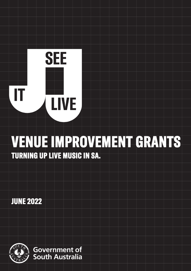# **SEE**  IT **LIVE**

# VENUE IMPROVEMENT GRANTS TURNING UP LIVE MUSIC IN SA.

JUNE 2022

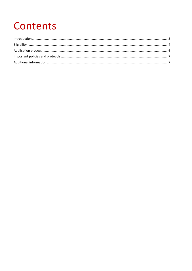## Contents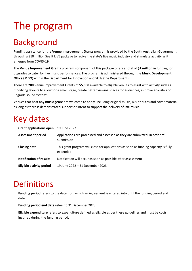## The program

#### <span id="page-2-0"></span>Background

Funding assistance for the **Venue Improvement Grants** program is provided by the South Australian Government through a \$10 million See It LIVE package to revive the state's live music industry and stimulate activity as it emerges from COVID-19.

The **Venue Improvement Grants** program component of this package offers a total of **\$1 million** in funding for upgrades to cater for live music performances. The program is administered through the **Music Development Office (MDO)** within the Department for Innovation and Skills (the Department).

There are **200** Venue Improvement Grants of **\$5,000** available to eligible venues to assist with activity such as modifying layouts to allow for a small stage, create better viewing spaces for audiences, improve acoustics or upgrade sound systems.

Venues that host **any music genre** are welcome to apply, including original music, DJs, tributes and cover material as long as there is demonstrated support or intent to support the delivery of **live music**.

#### Key dates

| <b>Grant applications open</b>  | 19 June 2022                                                                                    |
|---------------------------------|-------------------------------------------------------------------------------------------------|
| <b>Assessment period</b>        | Applications are processed and assessed as they are submitted, in order of<br>submission        |
| <b>Closing date</b>             | This grant program will close for applications as soon as funding capacity is fully<br>expended |
| <b>Notification of results</b>  | Notification will occur as soon as possible after assessment                                    |
| <b>Eligible activity period</b> | 19 June 2022 - 31 December 2023                                                                 |

#### **Definitions**

**Funding period** refers to the date from which an Agreement is entered into until the funding period end date.

**Funding period end date** refers to 31 December 2023.

**Eligible expenditure** refers to expenditure defined as eligible as per these guidelines and must be costs incurred during the funding period.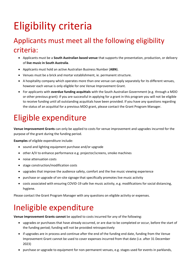# <span id="page-3-0"></span>Eligibility criteria

#### Applicants must meet all the following eligibility criteria:

- Applicants must be a **South Australian based venue** that supports the presentation, production, or delivery of **live music in South Australia**.
- Applicants must hold an active Australian Business Number (**ABN**).
- Venues must be a brick and mortar establishment, ie. permanent structure.
- A hospitality company which operates more than one venue can apply separately for its different venues, however each venue is only eligible for one Venue Improvement Grant.
- For applicants with **overdue funding acquittals** with the South Australian Government (e.g. through a MDO or other previous grant): if you are successful in applying for a grant in this program you will not be eligible to receive funding until all outstanding acquittals have been provided. If you have any questions regarding the status of an acquittal for a previous MDO grant, please contact the Grant Program Manager.

#### Eligible expenditure

**Venue Improvement Grants** can only be applied to costs for venue improvement and upgrades incurred for the purpose of the grant during the funding period.

**Examples** of eligible expenditure include:

- sound and lighting equipment purchase and/or upgrade
- other A/V to enhance performance e.g. projector/screens, smoke machines
- noise attenuation costs
- stage construction/modification costs
- upgrades that improve the audience safety, comfort and the live music viewing experience
- purchase or upgrade of on-site signage that specifically promotes live music activity
- costs associated with ensuring COVID-19 safe live music activity, e.g. modifications for social distancing, hygiene.

Please contact the Grant Program Manager with any questions on eligible activity or expenses.

#### Ineligible expenditure

**Venue Improvement Grants cannot** be applied to costs incurred for any of the following:

- upgrades or purchases that have already occurred, or are due to be completed or occur, before the start of the funding period; funding will not be provided retrospectively
- if upgrades are in process and continue after the end of the funding end date, funding from the Venue Improvement Grant cannot be used to cover expenses incurred from that date (i.e. after 31 December 2023)
- purchase or upgrade to equipment for non-permanent venues, e.g. stages used for events in parklands,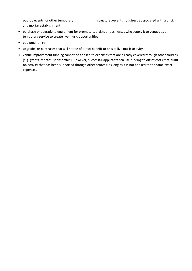and mortar establishment

- purchase or upgrade to equipment for promoters, artists or businesses who supply it to venues as a temporary service to create live music opportunities
- equipment hire
- upgrades or purchases that will not be of direct benefit to on site live music activity
- <span id="page-4-0"></span>• venue improvement funding cannot be applied to expenses that are already covered through other sources (e.g. grants, rebates, sponsorship). However, successful applicants can use funding to offset costs that **build on** activity that has been supported through other sources, as long as it is not applied to the same exact expenses.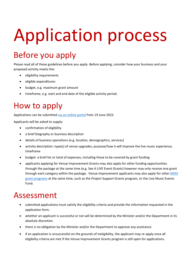# Application process

#### Before you apply

Please read all of these guidelines before you apply. Before applying, consider how your business and your proposed activity meets the:

- eligibility requirements
- eligible expenditures
- budget, e.g. maximum grant amount
- timeframe, e.g. start and end date of the eligible activity period.

#### How to apply

Applications can be submitted [via an online portal](https://mybusiness.smartygrants.com.au/) from 19 June 2022.

Applicants will be asked to supply:

- confirmation of eligibility
- a brief biography or business description
- details of business operations (e.g. location, demographics, services)
- activity description: type(s) of venue upgrades, purpose/how it will improve the live music experience, timeframe
- budget: a brief list or total of expenses, including those to be covered by grant funding
- applicants applying for Venue Improvement Grants may also apply for other funding opportunities through the package at the same time (e.g. See It LIVE Event Grants) however may only receive one grant through each category within the package. Venue Improvement applicants may also apply for other MDO [grant programs](https://mdo.sa.gov.au/) at the same time, such as the Project Support Grants program, or the Live Music Events Fund.

#### Assessment

- submitted applications must satisfy the eligibility criteria and provide the information requested in the application form.
- whether an applicant is successful or not will be determined by the Minister and/or the Department in its absolute discretion.
- there is no obligation by the Minister and/or the Department to approve any assistance.
- if an application is unsuccessful on the grounds of ineligibility, the applicant may re-apply once all eligibility criteria are met if the Venue Improvement Grants program is still open for applications.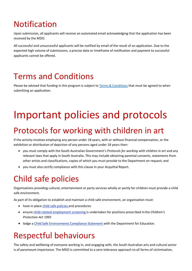#### Notification

Upon submission, all applicants will receive an automated email acknowledging that the application has been received by the MDO.

All successful and unsuccessful applicants will be notified by email of the result of an application. Due to the expected high volume of submissions, a precise date or timeframe of notification and payment to successful applicants cannot be offered.

#### Terms and Conditions

<span id="page-6-0"></span>Please be advised that funding in this program is subject to [Terms & Conditions](https://business.sa.gov.au/live-music/terms-venueimprovement) that must be agreed to when submitting an application.

## Important policies and protocols

#### Protocols for working with children in art

If the activity involves employing any person under 18 years, with or without financial compensation, or the exhibition or distribution of depiction of any persons aged under 18 years then:

- you must comply with the South Australian Government's *Protocols for working with children in art* and any relevant laws that apply in South Australia. This may include obtaining parental consents, statements from other artists and classifications, copies of which you must provide to the Department on request; and
- you must also certify compliance with this clause in your Acquittal Report.

#### Child safe policies

Organisations providing cultural, entertainment or party services wholly or partly for children must provide a child safe environment.

As part of its obligation to establish and maintain a child safe environment, an organisation must:

- have in place [child safe policies](https://dhs.sa.gov.au/services/community-and-family-services/child-safe-environments/creating-child-safe-environments/developing-a-child-safe-policy) and procedures
- ensure [child-related employment screening](https://screening.sa.gov.au/types-of-check/child-related-employment) is undertaken for positions prescribed inthe *Children's Protection Act 1993*
- lodge a [Child Safe Environments Compliance Statement w](https://dhs.sa.gov.au/services/community-and-family-services/child-safe-environments/lodging-a-child-safe-environments-compliance-statement)ith the Department for Education.

#### Respectful behaviours

The safety and wellbeing of everyone working in, and engaging with, the South Australian arts and cultural sector is of paramount importance. The MDO is committed to a zero-tolerance approach to all forms of victimisation,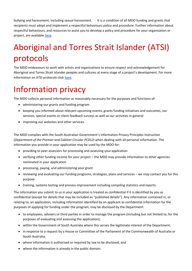bullying and harassment, including sexual harassment. It is a condition of all MDO funding and grants that recipients must adopt and implement a respectful behaviours policy and procedure. Further information about respectful behaviours, and resources to assist you to develop a policy and procedure for your organisation or project, are available [here.](https://www.dpc.sa.gov.au/responsibilities/arts-and-culture/grants/guidelines)

#### Aboriginal and Torres Strait Islander (ATSI) protocols

The MDO endeavours to work with artists and organisations to ensure respect and acknowledgement for Aboriginal and Torres Strait Islander peoples and cultures at every stage of a project's development. For more information on ATSI protocols click [here.](https://www.dpc.sa.gov.au/responsibilities/arts-and-culture/grants/guidelines/aboriginal-and-torres-strait-islander-protocols)

#### Information privacy

The MDO collects personal information as reasonably necessary for the purposes and functions of:

- administering our grants and funding program
- keeping you informed about relevant upcoming events, grants funding initiatives and outcomes, our services, special events or client feedback surveys as well as our activities in general
- improving our websites and other services.

The MDO complies with the South Australian Government's Information Privacy Principles Instruction (*Department of the Premier and Cabinet Circular PC012*) when dealing with all personal information. The information you provide in your application may be used by the MDO for:

- providing to peer assessors for processing and assessing your application
- verifying other funding income for your project the MDO may provide information to other agencies nominated in your application
- processing, paying, and administering your grant
- reviewing and evaluating our funding programs, strategies, plans and services we may contact you for this purpose
- training, systems testing and process improvement including compiling statistics and reports.

The information you submit to us in your application is treated as confidential if it is identified by you as confidential (except for details that may be included as "published details"). Any information contained in, or relating to, an application, including information identified by an applicant as confidential information for the purposes of applying for funding under the program, may be disclosed by the Department:

- to employees, advisers or third parties in order to manage the program (including but not limited to, for the purposes of evaluating and assessing the application);
- within the Government of South Australia where this serves the legitimate interest of the Department;
- in response to a request by a House or Committee of the Parliament of the Commonwealth of Australia or South Australia;
- where information is authorised or required by law to be disclosed; and
- where the information is already in the public domain.